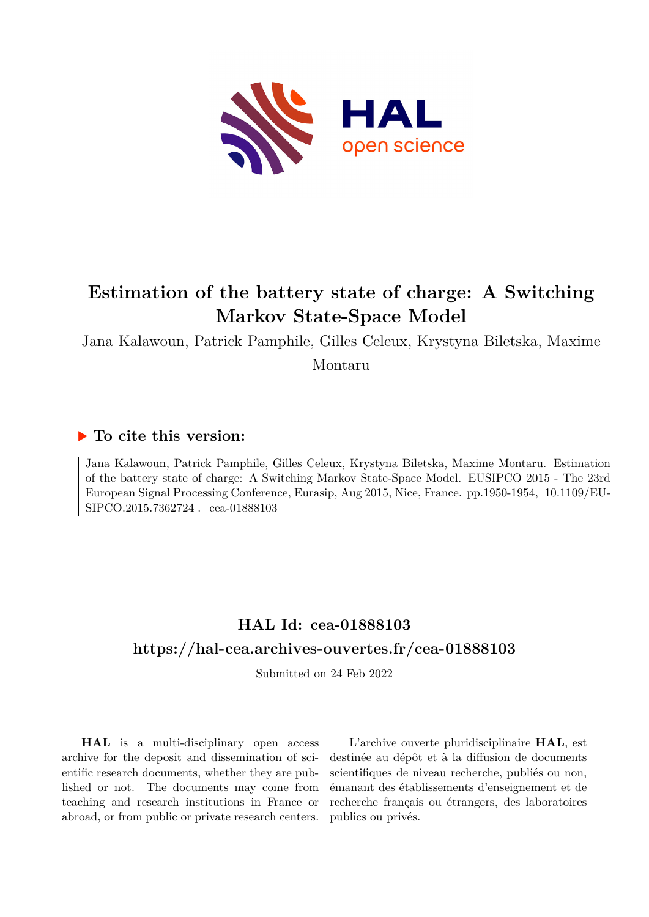

# **Estimation of the battery state of charge: A Switching Markov State-Space Model**

Jana Kalawoun, Patrick Pamphile, Gilles Celeux, Krystyna Biletska, Maxime Montaru

### **To cite this version:**

Jana Kalawoun, Patrick Pamphile, Gilles Celeux, Krystyna Biletska, Maxime Montaru. Estimation of the battery state of charge: A Switching Markov State-Space Model. EUSIPCO 2015 - The 23rd European Signal Processing Conference, Eurasip, Aug 2015, Nice, France. pp.1950-1954, 10.1109/EU- ${\rm SIPCO}.2015.7362724$  . cea-01888103

## **HAL Id: cea-01888103 <https://hal-cea.archives-ouvertes.fr/cea-01888103>**

Submitted on 24 Feb 2022

**HAL** is a multi-disciplinary open access archive for the deposit and dissemination of scientific research documents, whether they are published or not. The documents may come from teaching and research institutions in France or abroad, or from public or private research centers.

L'archive ouverte pluridisciplinaire **HAL**, est destinée au dépôt et à la diffusion de documents scientifiques de niveau recherche, publiés ou non, émanant des établissements d'enseignement et de recherche français ou étrangers, des laboratoires publics ou privés.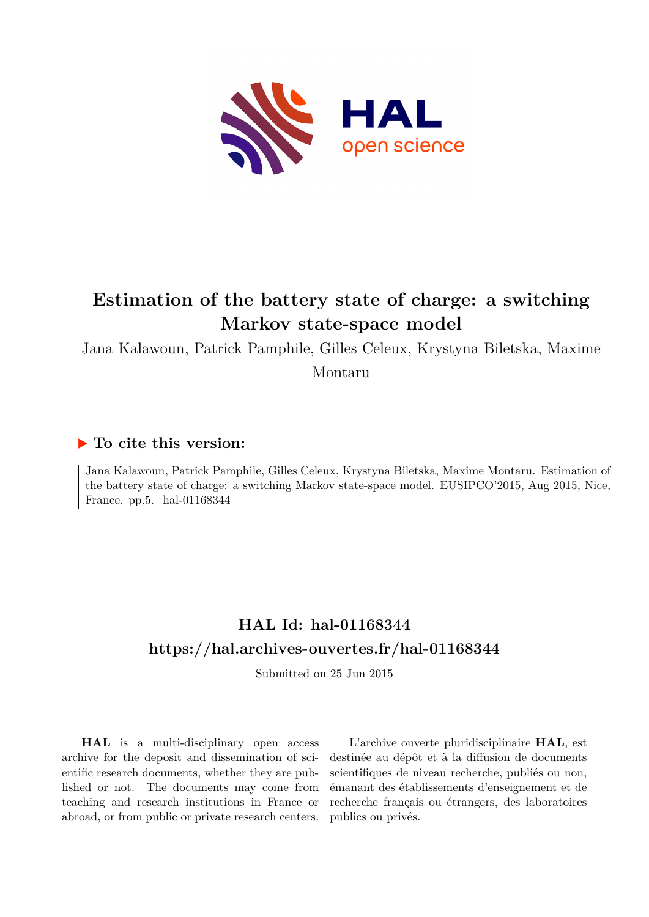

# **Estimation of the battery state of charge: a switching Markov state-space model**

Jana Kalawoun, Patrick Pamphile, Gilles Celeux, Krystyna Biletska, Maxime

Montaru

### **To cite this version:**

Jana Kalawoun, Patrick Pamphile, Gilles Celeux, Krystyna Biletska, Maxime Montaru. Estimation of the battery state of charge: a switching Markov state-space model. EUSIPCO'2015, Aug 2015, Nice, France. pp.5. hal-01168344

## **HAL Id: hal-01168344 <https://hal.archives-ouvertes.fr/hal-01168344>**

Submitted on 25 Jun 2015

**HAL** is a multi-disciplinary open access archive for the deposit and dissemination of scientific research documents, whether they are published or not. The documents may come from teaching and research institutions in France or abroad, or from public or private research centers.

L'archive ouverte pluridisciplinaire **HAL**, est destinée au dépôt et à la diffusion de documents scientifiques de niveau recherche, publiés ou non, émanant des établissements d'enseignement et de recherche français ou étrangers, des laboratoires publics ou privés.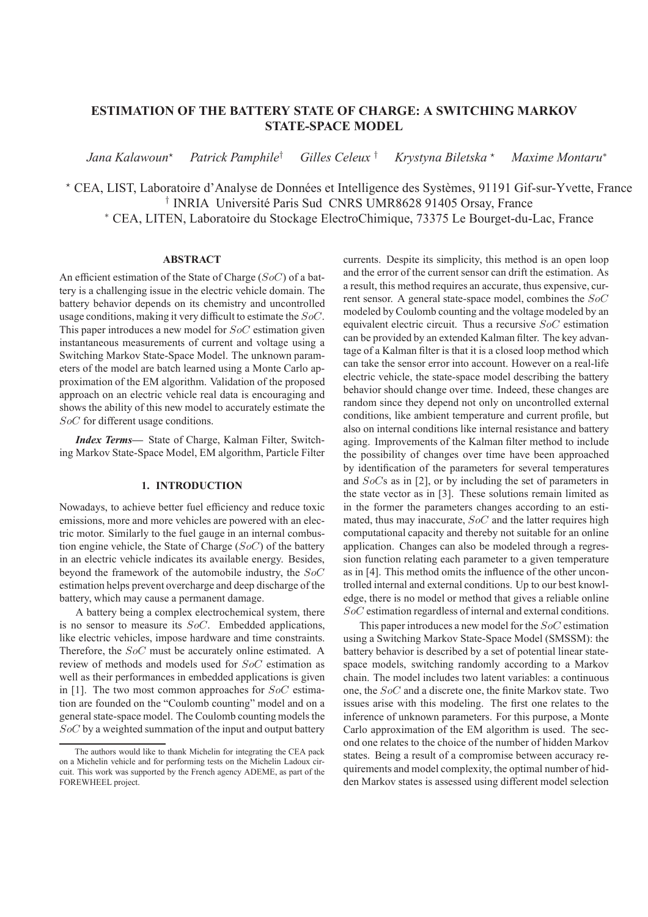### **ESTIMATION OF THE BATTERY STATE OF CHARGE: A SWITCHING MARKOV STATE-SPACE MODEL**

*Jana Kalawoun*<sup>⋆</sup> *Patrick Pamphile*† *Gilles Celeux* † *Krystyna Biletska* <sup>⋆</sup> *Maxime Montaru*<sup>∗</sup>

\* CEA, LIST, Laboratoire d'Analyse de Données et Intelligence des Systèmes, 91191 Gif-sur-Yvette, France <sup>†</sup> INRIA Université Paris Sud CNRS UMR8628 91405 Orsay, France <sup>∗</sup> CEA, LITEN, Laboratoire du Stockage ElectroChimique, 73375 Le Bourget-du-Lac, France

#### **ABSTRACT**

An efficient estimation of the State of Charge (SoC) of a battery is a challenging issue in the electric vehicle domain. The battery behavior depends on its chemistry and uncontrolled usage conditions, making it very difficult to estimate the SoC. This paper introduces a new model for SoC estimation given instantaneous measurements of current and voltage using a Switching Markov State-Space Model. The unknown parameters of the model are batch learned using a Monte Carlo approximation of the EM algorithm. Validation of the proposed approach on an electric vehicle real data is encouraging and shows the ability of this new model to accurately estimate the SoC for different usage conditions.

*Index Terms***—** State of Charge, Kalman Filter, Switching Markov State-Space Model, EM algorithm, Particle Filter

#### **1. INTRODUCTION**

Nowadays, to achieve better fuel efficiency and reduce toxic emissions, more and more vehicles are powered with an electric motor. Similarly to the fuel gauge in an internal combustion engine vehicle, the State of Charge  $(SoC)$  of the battery in an electric vehicle indicates its available energy. Besides, beyond the framework of the automobile industry, the SoC estimation helps prevent overcharge and deep discharge of the battery, which may cause a permanent damage.

A battery being a complex electrochemical system, there is no sensor to measure its SoC. Embedded applications, like electric vehicles, impose hardware and time constraints. Therefore, the *SoC* must be accurately online estimated. A review of methods and models used for SoC estimation as well as their performances in embedded applications is given in [1]. The two most common approaches for  $SoC$  estimation are founded on the "Coulomb counting" model and on a general state-space model. The Coulomb counting models the SoC by a weighted summation of the input and output battery

currents. Despite its simplicity, this method is an open loop and the error of the current sensor can drift the estimation. As a result, this method requires an accurate, thus expensive, current sensor. A general state-space model, combines the SoC modeled by Coulomb counting and the voltage modeled by an equivalent electric circuit. Thus a recursive SoC estimation can be provided by an extended Kalman filter. The key advantage of a Kalman filter is that it is a closed loop method which can take the sensor error into account. However on a real-life electric vehicle, the state-space model describing the battery behavior should change over time. Indeed, these changes are random since they depend not only on uncontrolled external conditions, like ambient temperature and current profile, but also on internal conditions like internal resistance and battery aging. Improvements of the Kalman filter method to include the possibility of changes over time have been approached by identification of the parameters for several temperatures and SoCs as in [2], or by including the set of parameters in the state vector as in [3]. These solutions remain limited as in the former the parameters changes according to an estimated, thus may inaccurate,  $SoC$  and the latter requires high computational capacity and thereby not suitable for an online application. Changes can also be modeled through a regression function relating each parameter to a given temperature as in [4]. This method omits the influence of the other uncontrolled internal and external conditions. Up to our best knowledge, there is no model or method that gives a reliable online SoC estimation regardless of internal and external conditions.

This paper introduces a new model for the SoC estimation using a Switching Markov State-Space Model (SMSSM): the battery behavior is described by a set of potential linear statespace models, switching randomly according to a Markov chain. The model includes two latent variables: a continuous one, the SoC and a discrete one, the finite Markov state. Two issues arise with this modeling. The first one relates to the inference of unknown parameters. For this purpose, a Monte Carlo approximation of the EM algorithm is used. The second one relates to the choice of the number of hidden Markov states. Being a result of a compromise between accuracy requirements and model complexity, the optimal number of hidden Markov states is assessed using different model selection

The authors would like to thank Michelin for integrating the CEA pack on a Michelin vehicle and for performing tests on the Michelin Ladoux circuit. This work was supported by the French agency ADEME, as part of the FOREWHEEL project.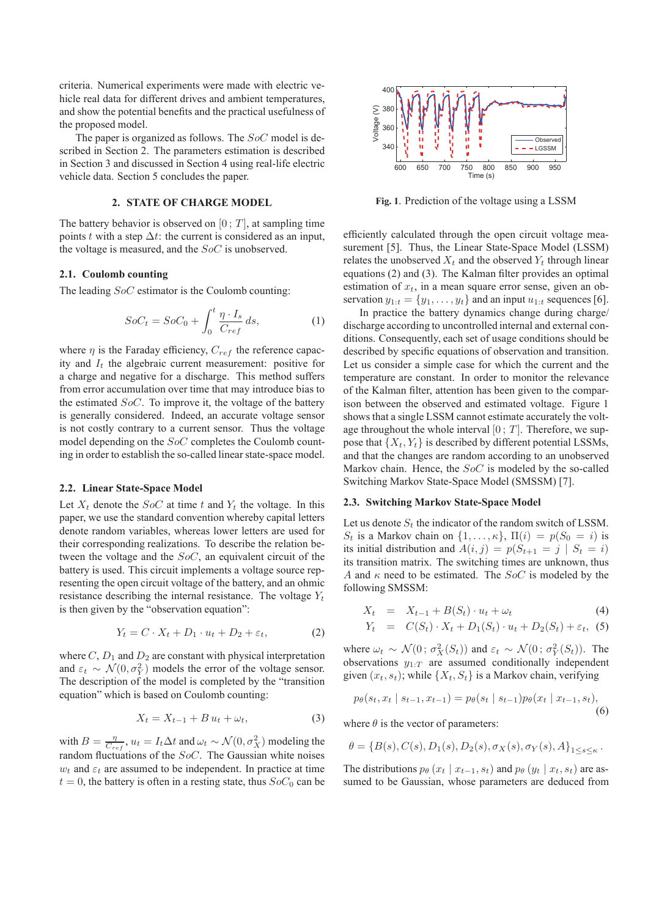criteria. Numerical experiments were made with electric vehicle real data for different drives and ambient temperatures, and show the potential benefits and the practical usefulness of the proposed model.

The paper is organized as follows. The SoC model is described in Section 2. The parameters estimation is described in Section 3 and discussed in Section 4 using real-life electric vehicle data. Section 5 concludes the paper.

#### **2. STATE OF CHARGE MODEL**

The battery behavior is observed on  $[0, T]$ , at sampling time points t with a step  $\Delta t$ : the current is considered as an input, the voltage is measured, and the SoC is unobserved.

#### **2.1. Coulomb counting**

The leading  $SoC$  estimator is the Coulomb counting:

$$
SoC_t = SoC_0 + \int_0^t \frac{\eta \cdot I_s}{C_{ref}} ds,
$$
\n(1)

where  $\eta$  is the Faraday efficiency,  $C_{ref}$  the reference capacity and  $I_t$  the algebraic current measurement: positive for a charge and negative for a discharge. This method suffers from error accumulation over time that may introduce bias to the estimated  $SoC$ . To improve it, the voltage of the battery is generally considered. Indeed, an accurate voltage sensor is not costly contrary to a current sensor. Thus the voltage model depending on the SoC completes the Coulomb counting in order to establish the so-called linear state-space model.

#### **2.2. Linear State-Space Model**

Let  $X_t$  denote the  $SoC$  at time t and  $Y_t$  the voltage. In this paper, we use the standard convention whereby capital letters denote random variables, whereas lower letters are used for their corresponding realizations. To describe the relation between the voltage and the SoC, an equivalent circuit of the battery is used. This circuit implements a voltage source representing the open circuit voltage of the battery, and an ohmic resistance describing the internal resistance. The voltage  $Y_t$ is then given by the "observation equation":

$$
Y_t = C \cdot X_t + D_1 \cdot u_t + D_2 + \varepsilon_t, \tag{2}
$$

where  $C, D_1$  and  $D_2$  are constant with physical interpretation and  $\varepsilon_t \sim \mathcal{N}(0, \sigma_Y^2)$  models the error of the voltage sensor. The description of the model is completed by the "transition equation" which is based on Coulomb counting:

$$
X_t = X_{t-1} + B u_t + \omega_t, \tag{3}
$$

with  $B = \frac{\eta}{C_{ref}}$ ,  $u_t = I_t \Delta t$  and  $\omega_t \sim \mathcal{N}(0, \sigma_X^2)$  modeling the random fluctuations of the SoC. The Gaussian white noises  $w_t$  and  $\varepsilon_t$  are assumed to be independent. In practice at time  $t = 0$ , the battery is often in a resting state, thus  $SoC_0$  can be



**Fig. 1**. Prediction of the voltage using a LSSM

efficiently calculated through the open circuit voltage measurement [5]. Thus, the Linear State-Space Model (LSSM) relates the unobserved  $X_t$  and the observed  $Y_t$  through linear equations (2) and (3). The Kalman filter provides an optimal estimation of  $x_t$ , in a mean square error sense, given an observation  $y_{1:t} = \{y_1, \ldots, y_t\}$  and an input  $u_{1:t}$  sequences [6].

In practice the battery dynamics change during charge/ discharge according to uncontrolled internal and external conditions. Consequently, each set of usage conditions should be described by specific equations of observation and transition. Let us consider a simple case for which the current and the temperature are constant. In order to monitor the relevance of the Kalman filter, attention has been given to the comparison between the observed and estimated voltage. Figure 1 shows that a single LSSM cannot estimate accurately the voltage throughout the whole interval  $[0, T]$ . Therefore, we suppose that  $\{X_t, Y_t\}$  is described by different potential LSSMs, and that the changes are random according to an unobserved Markov chain. Hence, the SoC is modeled by the so-called Switching Markov State-Space Model (SMSSM) [7].

#### **2.3. Switching Markov State-Space Model**

Let us denote  $S_t$  the indicator of the random switch of LSSM.  $S_t$  is a Markov chain on  $\{1,\ldots,\kappa\}, \Pi(i) = p(S_0 = i)$  is its initial distribution and  $A(i, j) = p(S_{t+1} = j | S_t = i)$ its transition matrix. The switching times are unknown, thus A and  $\kappa$  need to be estimated. The SoC is modeled by the following SMSSM:

$$
X_t = X_{t-1} + B(S_t) \cdot u_t + \omega_t \tag{4}
$$

$$
Y_t = C(S_t) \cdot X_t + D_1(S_t) \cdot u_t + D_2(S_t) + \varepsilon_t, (5)
$$

where  $\omega_t \sim \mathcal{N}(0; \sigma_X^2(S_t))$  and  $\varepsilon_t \sim \mathcal{N}(0; \sigma_Y^2(S_t))$ . The observations  $y_1 \cdot_T$  are assumed conditionally independent given  $(x_t, s_t)$ ; while  $\{X_t, S_t\}$  is a Markov chain, verifying

$$
p_{\theta}(s_t, x_t \mid s_{t-1}, x_{t-1}) = p_{\theta}(s_t \mid s_{t-1}) p_{\theta}(x_t \mid x_{t-1}, s_t),
$$
\n(6)

where  $\theta$  is the vector of parameters:

$$
\theta = \left\{B(s), C(s), D_1(s), D_2(s), \sigma_X(s), \sigma_Y(s), A\right\}_{1\leq s\leq \kappa}.
$$

The distributions  $p_{\theta}$  ( $x_t | x_{t-1}, s_t$ ) and  $p_{\theta}$  ( $y_t | x_t, s_t$ ) are assumed to be Gaussian, whose parameters are deduced from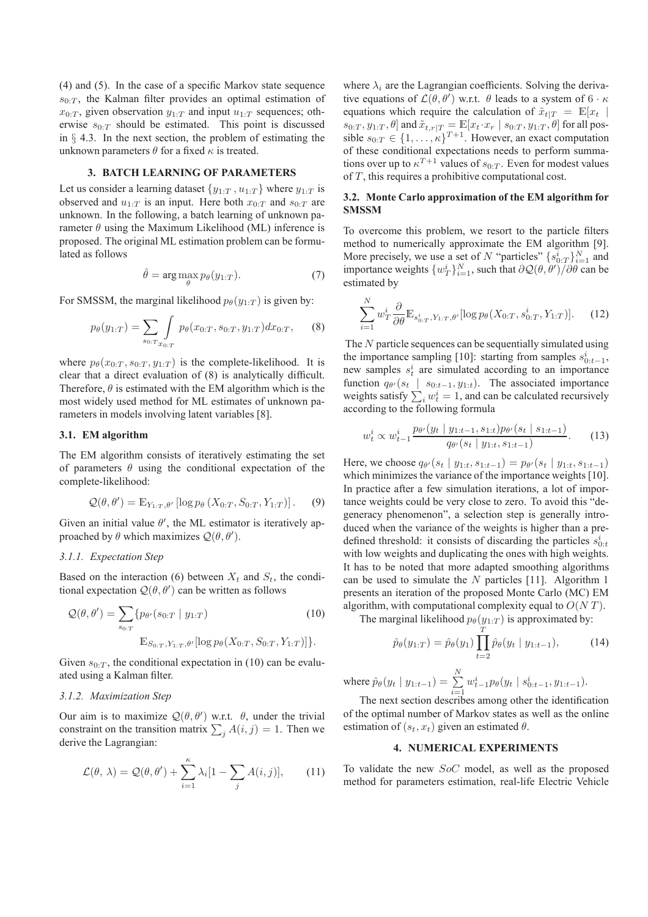(4) and (5). In the case of a specific Markov state sequence  $s_{0:T}$ , the Kalman filter provides an optimal estimation of  $x_{0:T}$ , given observation  $y_{1:T}$  and input  $u_{1:T}$  sequences; otherwise  $s_{0:T}$  should be estimated. This point is discussed in  $\S$  4.3. In the next section, the problem of estimating the unknown parameters  $\theta$  for a fixed  $\kappa$  is treated.

#### **3. BATCH LEARNING OF PARAMETERS**

Let us consider a learning dataset  $\{y_{1:T}, u_{1:T}\}$  where  $y_{1:T}$  is observed and  $u_{1:T}$  is an input. Here both  $x_{0:T}$  and  $s_{0:T}$  are unknown. In the following, a batch learning of unknown parameter  $\theta$  using the Maximum Likelihood (ML) inference is proposed. The original ML estimation problem can be formulated as follows

$$
\hat{\theta} = \arg \max_{\theta} p_{\theta}(y_{1:T}). \tag{7}
$$

For SMSSM, the marginal likelihood  $p_{\theta}(y_{1:T})$  is given by:

$$
p_{\theta}(y_{1:T}) = \sum_{s_{0:T}} \int p_{\theta}(x_{0:T}, s_{0:T}, y_{1:T}) dx_{0:T}, \quad (8)
$$

where  $p_{\theta}(x_{0:T}, s_{0:T}, y_{1:T})$  is the complete-likelihood. It is clear that a direct evaluation of (8) is analytically difficult. Therefore,  $\theta$  is estimated with the EM algorithm which is the most widely used method for ML estimates of unknown parameters in models involving latent variables [8].

#### **3.1. EM algorithm**

The EM algorithm consists of iteratively estimating the set of parameters  $\theta$  using the conditional expectation of the complete-likelihood:

$$
\mathcal{Q}(\theta,\theta') = \mathbb{E}_{Y_{1:T},\theta'}\left[\log p_{\theta}\left(X_{0:T}, S_{0:T}, Y_{1:T}\right)\right].\tag{9}
$$

Given an initial value  $\theta'$ , the ML estimator is iteratively approached by  $\theta$  which maximizes  $\mathcal{Q}(\theta, \theta')$ .

#### *3.1.1. Expectation Step*

Based on the interaction (6) between  $X_t$  and  $S_t$ , the conditional expectation  $\mathcal{Q}(\theta, \theta')$  can be written as follows

$$
Q(\theta, \theta') = \sum_{s_{0:T}} \{p_{\theta'}(s_{0:T} | y_{1:T}) \qquad (10)
$$

$$
\mathbb{E}_{S_{0:T}, Y_{1:T}, \theta'}[\log p_{\theta}(X_{0:T}, S_{0:T}, Y_{1:T})]\}.
$$

Given  $s_{0:T}$ , the conditional expectation in (10) can be evaluated using a Kalman filter.

#### *3.1.2. Maximization Step*

Our aim is to maximize  $\mathcal{Q}(\theta, \theta')$  w.r.t.  $\theta$ , under the trivial constraint on the transition matrix  $\sum_j A(i, j) = 1$ . Then we derive the Lagrangian:

$$
\mathcal{L}(\theta, \lambda) = \mathcal{Q}(\theta, \theta') + \sum_{i=1}^{\kappa} \lambda_i [1 - \sum_j A(i, j)], \qquad (11)
$$

where  $\lambda_i$  are the Lagrangian coefficients. Solving the derivative equations of  $\mathcal{L}(\theta, \theta')$  w.r.t.  $\theta$  leads to a system of 6  $\cdot \kappa$ equations which require the calculation of  $\tilde{x}_{t|T} = \mathbb{E}[x_t]$  $s_{0:T}, y_{1:T}, \theta$ ] and  $\tilde{x}_{t,r|T} = \mathbb{E}[x_t \cdot x_r | s_{0:T}, y_{1:T}, \theta]$  for all possible  $s_{0:T} \in \{1, \ldots, \kappa\}^{T+1}$ . However, an exact computation of these conditional expectations needs to perform summations over up to  $\kappa^{T+1}$  values of  $s_{0:T}$ . Even for modest values of  $T$ , this requires a prohibitive computational cost.

#### **3.2. Monte Carlo approximation of the EM algorithm for SMSSM**

To overcome this problem, we resort to the particle filters method to numerically approximate the EM algorithm [9]. More precisely, we use a set of N "particles"  $\{s_{0:T}^i\}_{i=1}^N$  and importance weights  $\{w_T^i\}_{i=1}^N$ , such that  $\partial \mathcal{Q}(\theta, \theta') / \partial \theta$  can be estimated by

$$
\sum_{i=1}^{N} w_T^i \frac{\partial}{\partial \theta} \mathbb{E}_{s_{0:T}^i, Y_{1:T}, \theta'} [\log p_{\theta}(X_{0:T}, s_{0:T}^i, Y_{1:T})]. \tag{12}
$$

The N particle sequences can be sequentially simulated using the importance sampling [10]: starting from samples  $s_{0:t-1}^i$ , new samples  $s_t^i$  are simulated according to an importance function  $q_{\theta'}(s_t \mid s_{0:t-1}, y_{1:t})$ . The associated importance weights satisfy  $\sum_i w_i^i = 1$ , and can be calculated recursively according to the following formula

$$
w_t^i \propto w_{t-1}^i \frac{p_{\theta'}(y_t \mid y_{1:t-1}, s_{1:t}) p_{\theta'}(s_t \mid s_{1:t-1})}{q_{\theta'}(s_t \mid y_{1:t}, s_{1:t-1})}.
$$
 (13)

Here, we choose  $q_{\theta'}(s_t | y_{1:t}, s_{1:t-1}) = p_{\theta'}(s_t | y_{1:t}, s_{1:t-1})$ which minimizes the variance of the importance weights [10]. In practice after a few simulation iterations, a lot of importance weights could be very close to zero. To avoid this "degeneracy phenomenon", a selection step is generally introduced when the variance of the weights is higher than a predefined threshold: it consists of discarding the particles  $s_{0:t}^i$ with low weights and duplicating the ones with high weights. It has to be noted that more adapted smoothing algorithms can be used to simulate the  $N$  particles [11]. Algorithm 1 presents an iteration of the proposed Monte Carlo (MC) EM algorithm, with computational complexity equal to  $O(NT)$ .

The marginal likelihood  $p_{\theta}(y_{1:T})$  is approximated by:

$$
\hat{p}_{\theta}(y_{1:T}) = \hat{p}_{\theta}(y_1) \prod_{t=2}^{T} \hat{p}_{\theta}(y_t \mid y_{1:t-1}), \quad (14)
$$

where  $\hat{p}_{\theta}(y_t | y_{1:t-1}) = \sum_{i=1}^{N}$  $i=1$  $w_{t-1}^i p_{\theta}(y_t \mid s_{0:t-1}^i, y_{1:t-1}).$ The next section describes among other the identification

of the optimal number of Markov states as well as the online estimation of  $(s_t, x_t)$  given an estimated  $\theta$ .

#### **4. NUMERICAL EXPERIMENTS**

To validate the new SoC model, as well as the proposed method for parameters estimation, real-life Electric Vehicle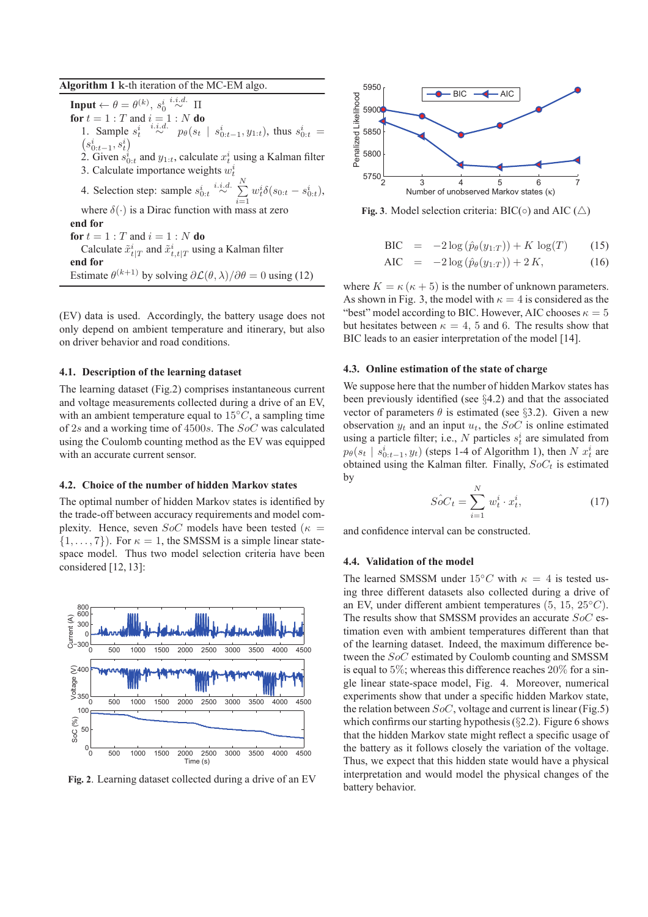#### **Algorithm 1** k-th iteration of the MC-EM algo.

**Input**  $\leftarrow \theta = \theta^{(k)}$ ,  $s_0^i \stackrel{i.i.d.}{\sim} \Pi$ **for**  $t = 1 : T$  and  $i = 1 : N$  **do** 1. Sample  $s_t^i \stackrel{i.i.d.}{\sim} p_\theta(s_t \mid s_{0:t-1}^i, y_{1:t})$ , thus  $s_{0:t}^i = (s_{0:t-1}^i, s_t^i)$  $s_{0:t-1}^{i}, s_{t}^{i}$ 2. Given  $s_{0:t}^i$  and  $y_{1:t}$ , calculate  $x_t^i$  using a Kalman filter 3. Calculate importance weights  $w_t^i$ 4. Selection step: sample  $s_{0:t}^i \stackrel{i.i.d.}{\sim} \sum^N$  $i=1$  $w_t^i \delta(s_{0:t} - s_{0:t}^i)$ , where  $\delta(\cdot)$  is a Dirac function with mass at zero **end for for**  $t = 1 : T$  and  $i = 1 : N$  **do** Calculate  $\tilde{x}^i_{t|T}$  and  $\tilde{x}^i_{t,t|T}$  using a Kalman filter **end for** Estimate  $\theta^{(k+1)}$  by solving  $\partial \mathcal{L}(\theta, \lambda)/\partial \theta = 0$  using (12)

(EV) data is used. Accordingly, the battery usage does not only depend on ambient temperature and itinerary, but also on driver behavior and road conditions.

#### **4.1. Description of the learning dataset**

The learning dataset (Fig.2) comprises instantaneous current and voltage measurements collected during a drive of an EV, with an ambient temperature equal to  $15°C$ , a sampling time of 2s and a working time of 4500s. The SoC was calculated using the Coulomb counting method as the EV was equipped with an accurate current sensor.

#### **4.2. Choice of the number of hidden Markov states**

The optimal number of hidden Markov states is identified by the trade-off between accuracy requirements and model complexity. Hence, seven  $SoC$  models have been tested ( $\kappa =$  $\{1, \ldots, 7\}$ ). For  $\kappa = 1$ , the SMSSM is a simple linear statespace model. Thus two model selection criteria have been considered [12, 13]:



**Fig. 2**. Learning dataset collected during a drive of an EV



**Fig. 3**. Model selection criteria: BIC( $\circ$ ) and AIC ( $\triangle$ )

$$
\text{BIC} = -2\log(\hat{p}_{\theta}(y_{1:T})) + K \log(T) \qquad (15)
$$

AIC = 
$$
-2 \log (\hat{p}_{\theta}(y_{1:T})) + 2K,
$$
 (16)

where  $K = \kappa (\kappa + 5)$  is the number of unknown parameters. As shown in Fig. 3, the model with  $\kappa = 4$  is considered as the "best" model according to BIC. However, AIC chooses  $\kappa = 5$ but hesitates between  $\kappa = 4$ , 5 and 6. The results show that BIC leads to an easier interpretation of the model [14].

#### **4.3. Online estimation of the state of charge**

We suppose here that the number of hidden Markov states has been previously identified (see §4.2) and that the associated vector of parameters  $\theta$  is estimated (see §3.2). Given a new observation  $y_t$  and an input  $u_t$ , the SoC is online estimated using a particle filter; i.e., N particles  $s_t^i$  are simulated from  $p_{\theta}(s_t | s_{0:t-1}^i, y_t)$  (steps 1-4 of Algorithm 1), then  $N x_t^i$  are obtained using the Kalman filter. Finally,  $SoC<sub>t</sub>$  is estimated by

$$
\hat{SoC}_t = \sum_{i=1}^{N} w_t^i \cdot x_t^i, \tag{17}
$$

and confidence interval can be constructed.

#### **4.4. Validation of the model**

The learned SMSSM under 15°C with  $\kappa = 4$  is tested using three different datasets also collected during a drive of an EV, under different ambient temperatures  $(5, 15, 25\degree C)$ . The results show that SMSSM provides an accurate SoC estimation even with ambient temperatures different than that of the learning dataset. Indeed, the maximum difference between the SoC estimated by Coulomb counting and SMSSM is equal to 5%; whereas this difference reaches 20% for a single linear state-space model, Fig. 4. Moreover, numerical experiments show that under a specific hidden Markov state, the relation between  $SoC$ , voltage and current is linear (Fig.5) which confirms our starting hypothesis  $(\S2.2)$ . Figure 6 shows that the hidden Markov state might reflect a specific usage of the battery as it follows closely the variation of the voltage. Thus, we expect that this hidden state would have a physical interpretation and would model the physical changes of the battery behavior.